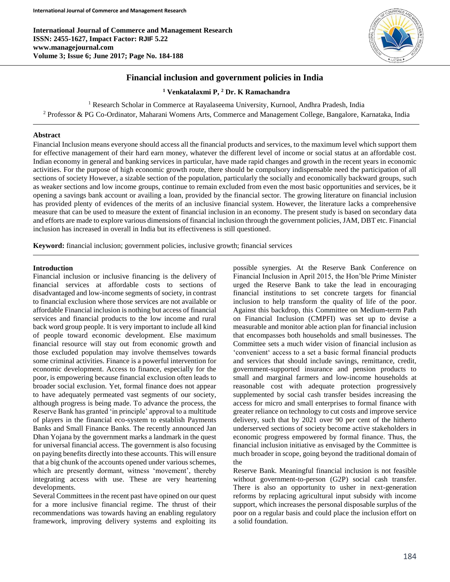**International Journal of Commerce and Management Research ISSN: 2455-1627, Impact Factor: RJIF 5.22 www.managejournal.com Volume 3; Issue 6; June 2017; Page No. 184-188**



# **Financial inclusion and government policies in India**

**<sup>1</sup> Venkatalaxmi P, <sup>2</sup> Dr. K Ramachandra**

<sup>1</sup> Research Scholar in Commerce at Rayalaseema University, Kurnool, Andhra Pradesh, India

<sup>2</sup> Professor & PG Co-Ordinator, Maharani Womens Arts, Commerce and Management College, Bangalore, Karnataka, India

### **Abstract**

Financial Inclusion means everyone should access all the financial products and services, to the maximum level which support them for effective management of their hard earn money, whatever the different level of income or social status at an affordable cost. Indian economy in general and banking services in particular, have made rapid changes and growth in the recent years in economic activities. For the purpose of high economic growth route, there should be compulsory indispensable need the participation of all sections of society However, a sizable section of the population, particularly the socially and economically backward groups, such as weaker sections and low income groups, continue to remain excluded from even the most basic opportunities and services, be it opening a savings bank account or availing a loan, provided by the financial sector. The growing literature on financial inclusion has provided plenty of evidences of the merits of an inclusive financial system. However, the literature lacks a comprehensive measure that can be used to measure the extent of financial inclusion in an economy. The present study is based on secondary data and efforts are made to explore various dimensions of financial inclusion through the government policies, JAM, DBT etc. Financial inclusion has increased in overall in India but its effectiveness is still questioned.

**Keyword:** financial inclusion; government policies, inclusive growth; financial services

### **Introduction**

Financial inclusion or inclusive financing is the delivery of financial services at affordable costs to sections of disadvantaged and low-income segments of society, in contrast to financial exclusion where those services are not available or affordable Financial inclusion is nothing but access of financial services and financial products to the low income and rural back word group people. It is very important to include all kind of people toward economic development. Else maximum financial resource will stay out from economic growth and those excluded population may involve themselves towards some criminal activities. Finance is a powerful intervention for economic development. Access to finance, especially for the poor, is empowering because financial exclusion often leads to broader social exclusion. Yet, formal finance does not appear to have adequately permeated vast segments of our society, although progress is being made. To advance the process, the Reserve Bank has granted 'in principle' approval to a multitude of players in the financial eco-system to establish Payments Banks and Small Finance Banks. The recently announced Jan Dhan Yojana by the government marks a landmark in the quest for universal financial access. The government is also focusing on paying benefits directly into these accounts. This will ensure that a big chunk of the accounts opened under various schemes, which are presently dormant, witness 'movement', thereby integrating access with use. These are very heartening developments.

Several Committees in the recent past have opined on our quest for a more inclusive financial regime. The thrust of their recommendations was towards having an enabling regulatory framework, improving delivery systems and exploiting its possible synergies. At the Reserve Bank Conference on Financial Inclusion in April 2015, the Hon'ble Prime Minister urged the Reserve Bank to take the lead in encouraging financial institutions to set concrete targets for financial inclusion to help transform the quality of life of the poor. Against this backdrop, this Committee on Medium-term Path on Financial Inclusion (CMPFI) was set up to devise a measurable and monitor able action plan for financial inclusion that encompasses both households and small businesses. The Committee sets a much wider vision of financial inclusion as 'convenient' access to a set a basic formal financial products and services that should include savings, remittance, credit, government-supported insurance and pension products to small and marginal farmers and low-income households at reasonable cost with adequate protection progressively supplemented by social cash transfer besides increasing the access for micro and small enterprises to formal finance with greater reliance on technology to cut costs and improve service delivery, such that by 2021 over 90 per cent of the hitherto underserved sections of society become active stakeholders in economic progress empowered by formal finance. Thus, the financial inclusion initiative as envisaged by the Committee is much broader in scope, going beyond the traditional domain of the

Reserve Bank. Meaningful financial inclusion is not feasible without government-to-person (G2P) social cash transfer. There is also an opportunity to usher in next-generation reforms by replacing agricultural input subsidy with income support, which increases the personal disposable surplus of the poor on a regular basis and could place the inclusion effort on a solid foundation.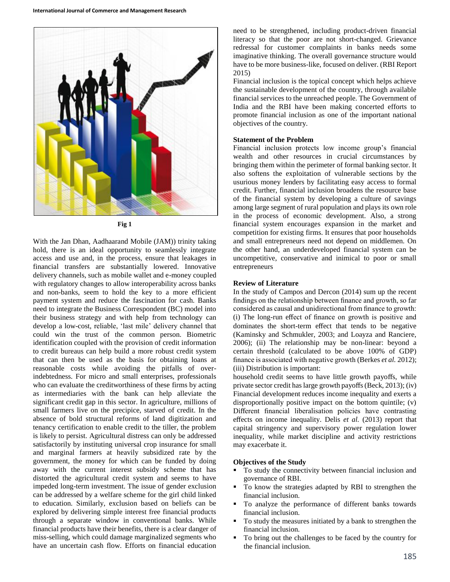

**Fig 1**

With the Jan Dhan, Aadhaarand Mobile (JAM)) trinity taking hold, there is an ideal opportunity to seamlessly integrate access and use and, in the process, ensure that leakages in financial transfers are substantially lowered. Innovative delivery channels, such as mobile wallet and e-money coupled with regulatory changes to allow interoperability across banks and non-banks, seem to hold the key to a more efficient payment system and reduce the fascination for cash. Banks need to integrate the Business Correspondent (BC) model into their business strategy and with help from technology can develop a low-cost, reliable, 'last mile' delivery channel that could win the trust of the common person. Biometric identification coupled with the provision of credit information to credit bureaus can help build a more robust credit system that can then be used as the basis for obtaining loans at reasonable costs while avoiding the pitfalls of overindebtedness. For micro and small enterprises, professionals who can evaluate the creditworthiness of these firms by acting as intermediaries with the bank can help alleviate the significant credit gap in this sector. In agriculture, millions of small farmers live on the precipice, starved of credit. In the absence of bold structural reforms of land digitization and tenancy certification to enable credit to the tiller, the problem is likely to persist. Agricultural distress can only be addressed satisfactorily by instituting universal crop insurance for small and marginal farmers at heavily subsidized rate by the government, the money for which can be funded by doing away with the current interest subsidy scheme that has distorted the agricultural credit system and seems to have impeded long-term investment. The issue of gender exclusion can be addressed by a welfare scheme for the girl child linked to education. Similarly, exclusion based on beliefs can be explored by delivering simple interest free financial products through a separate window in conventional banks. While financial products have their benefits, there is a clear danger of miss-selling, which could damage marginalized segments who have an uncertain cash flow. Efforts on financial education

need to be strengthened, including product-driven financial literacy so that the poor are not short-changed. Grievance redressal for customer complaints in banks needs some imaginative thinking. The overall governance structure would have to be more business-like, focused on deliver. (RBI Report 2015)

Financial inclusion is the topical concept which helps achieve the sustainable development of the country, through available financial services to the unreached people. The Government of India and the RBI have been making concerted efforts to promote financial inclusion as one of the important national objectives of the country.

#### **Statement of the Problem**

Financial inclusion protects low income group's financial wealth and other resources in crucial circumstances by bringing them within the perimeter of formal banking sector. It also softens the exploitation of vulnerable sections by the usurious money lenders by facilitating easy access to formal credit. Further, financial inclusion broadens the resource base of the financial system by developing a culture of savings among large segment of rural population and plays its own role in the process of economic development. Also, a strong financial system encourages expansion in the market and competition for existing firms. It ensures that poor households and small entrepreneurs need not depend on middlemen. On the other hand, an underdeveloped financial system can be uncompetitive, conservative and inimical to poor or small entrepreneurs

### **Review of Literature**

In the study of Campos and Dercon (2014) sum up the recent findings on the relationship between finance and growth, so far considered as causal and unidirectional from finance to growth: (i) The long-run effect of finance on growth is positive and dominates the short-term effect that tends to be negative (Kaminsky and Schmukler, 2003; and Loayza and Ranciere, 2006); (ii) The relationship may be non-linear: beyond a certain threshold (calculated to be above 100% of GDP) finance is associated with negative growth (Berkes *et al.* 2012); (iii) Distribution is important:

household credit seems to have little growth payoffs, while private sector credit has large growth payoffs (Beck, 2013); (iv) Financial development reduces income inequality and exerts a disproportionally positive impact on the bottom quintile; (v) Different financial liberalisation policies have contrasting effects on income inequality. Delis *et al.* (2013) report that capital stringency and supervisory power regulation lower inequality, while market discipline and activity restrictions may exacerbate it.

#### **Objectives of the Study**

- To study the connectivity between financial inclusion and governance of RBI.
- To know the strategies adapted by RBI to strengthen the financial inclusion.
- To analyze the performance of different banks towards financial inclusion.
- To study the measures initiated by a bank to strengthen the financial inclusion.
- To bring out the challenges to be faced by the country for the financial inclusion.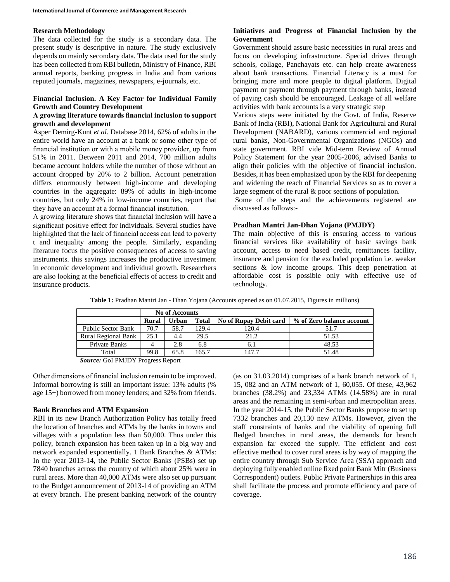### **Research Methodology**

The data collected for the study is a secondary data. The present study is descriptive in nature. The study exclusively depends on mainly secondary data. The data used for the study has been collected from RBI bulletin, Ministry of Finance, RBI annual reports, banking progress in India and from various reputed journals, magazines, newspapers, e-journals, etc.

## **Financial Inclusion. A Key Factor for Individual Family Growth and Country Development**

## **A growing literature towards financial inclusion to support growth and development**

Asper Demirg-Kunt *et al.* Database 2014, 62% of adults in the entire world have an account at a bank or some other type of financial institution or with a mobile money provider, up from 51% in 2011. Between 2011 and 2014, 700 million adults became account holders while the number of those without an account dropped by 20% to 2 billion. Account penetration differs enormously between high-income and developing countries in the aggregate: 89% of adults in high-income countries, but only 24% in low-income countries, report that they have an account at a formal financial institution.

A growing literature shows that financial inclusion will have a significant positive effect for individuals. Several studies have highlighted that the lack of financial access can lead to poverty t and inequality among the people. Similarly, expanding literature focus the positive consequences of access to saving instruments. this savings increases the productive investment in economic development and individual growth. Researchers are also looking at the beneficial effects of access to credit and insurance products.

# **Initiatives and Progress of Financial Inclusion by the Government**

Government should assure basic necessities in rural areas and focus on developing infrastructure. Special drives through schools, collage, Panchayats etc. can help create awareness about bank transactions. Financial Literacy is a must for bringing more and more people to digital platform. Digital payment or payment through payment through banks, instead of paying cash should be encouraged. Leakage of all welfare activities with bank accounts is a very strategic step

Various steps were initiated by the Govt. of India, Reserve Bank of India (RBI), National Bank for Agricultural and Rural Development (NABARD), various commercial and regional rural banks, Non-Governmental Organizations (NGOs) and state government. RBI vide Mid-term Review of Annual Policy Statement for the year 2005-2006, advised Banks to align their policies with the objective of financial inclusion. Besides, it has been emphasized upon by the RBI for deepening and widening the reach of Financial Services so as to cover a large segment of the rural & poor sections of population.

Some of the steps and the achievements registered are discussed as follows:-

### **Pradhan Mantri Jan-Dhan Yojana (PMJDY)**

The main objective of this is ensuring access to various financial services like availability of basic savings bank account, access to need based credit, remittances facility, insurance and pension for the excluded population i.e. weaker sections & low income groups. This deep penetration at affordable cost is possible only with effective use of technology.

|                            | <b>No of Accounts</b> |       |              |                               |                           |
|----------------------------|-----------------------|-------|--------------|-------------------------------|---------------------------|
|                            | Rural                 | Urban | <b>Total</b> | <b>No of Rupay Debit card</b> | % of Zero balance account |
| Public Sector Bank         | 70.7                  | 58.7  | 29.4         | 120.4                         | 51.7                      |
| <b>Rural Regional Bank</b> | 25.1                  |       | 29.5         | 21.2                          | 51.53                     |
| Private Banks              |                       | 2.8   | 6.8          | 6.1                           | 48.53                     |
| Total                      | 99.8                  | 65.8  | 165.7        | 147.7                         | 51.48                     |

**Table 1:** Pradhan Mantri Jan - Dhan Yojana (Accounts opened as on 01.07.2015, Figures in millions)

*Source:* GoI PMJDY Progress Report

Other dimensions of financial inclusion remain to be improved. Informal borrowing is still an important issue: 13% adults (% age 15+) borrowed from money lenders; and 32% from friends.

### **Bank Branches and ATM Expansion**

RBI in its new Branch Authorization Policy has totally freed the location of branches and ATMs by the banks in towns and villages with a population less than 50,000. Thus under this policy, branch expansion has been taken up in a big way and network expanded exponentially. 1 Bank Branches & ATMs: In the year 2013-14, the Public Sector Banks (PSBs) set up 7840 branches across the country of which about 25% were in rural areas. More than 40,000 ATMs were also set up pursuant to the Budget announcement of 2013-14 of providing an ATM at every branch. The present banking network of the country

(as on 31.03.2014) comprises of a bank branch network of 1, 15, 082 and an ATM network of 1, 60,055. Of these, 43,962 branches (38.2%) and 23,334 ATMs (14.58%) are in rural areas and the remaining in semi-urban and metropolitan areas. In the year 2014-15, the Public Sector Banks propose to set up 7332 branches and 20,130 new ATMs. However, given the staff constraints of banks and the viability of opening full fledged branches in rural areas, the demands for branch expansion far exceed the supply. The efficient and cost effective method to cover rural areas is by way of mapping the entire country through Sub Service Area (SSA) approach and deploying fully enabled online fixed point Bank Mitr (Business Correspondent) outlets. Public Private Partnerships in this area shall facilitate the process and promote efficiency and pace of coverage.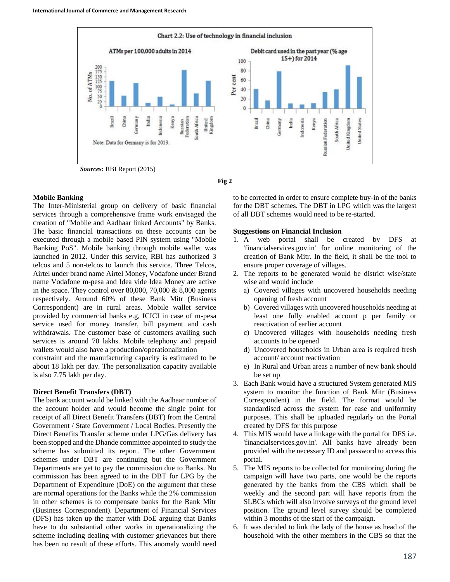



### **Mobile Banking**

The Inter-Ministerial group on delivery of basic financial services through a comprehensive frame work envisaged the creation of "Mobile and Aadhaar linked Accounts" by Banks. The basic financial transactions on these accounts can be executed through a mobile based PIN system using "Mobile Banking PoS". Mobile banking through mobile wallet was launched in 2012. Under this service, RBI has authorized 3 telcos and 5 non-telcos to launch this service. Three Telcos, Airtel under brand name Airtel Money, Vodafone under Brand name Vodafone m-pesa and Idea vide Idea Money are active in the space. They control over 80,000, 70,000 & 8,000 agents respectively. Around 60% of these Bank Mitr (Business Correspondent) are in rural areas. Mobile wallet service provided by commercial banks e.g, ICICI in case of m-pesa service used for money transfer, bill payment and cash withdrawals. The customer base of customers availing such services is around 70 lakhs. Mobile telephony and prepaid wallets would also have a production/operationalization

constraint and the manufacturing capacity is estimated to be about 18 lakh per day. The personalization capacity available is also 7.75 lakh per day.

### **Direct Benefit Transfers (DBT)**

The bank account would be linked with the Aadhaar number of the account holder and would become the single point for receipt of all Direct Benefit Transfers (DBT) from the Central Government / State Government / Local Bodies. Presently the Direct Benefits Transfer scheme under LPG/Gas delivery has been stopped and the Dhande committee appointed to study the scheme has submitted its report. The other Government schemes under DBT are continuing but the Government Departments are yet to pay the commission due to Banks. No commission has been agreed to in the DBT for LPG by the Department of Expenditure (DoE) on the argument that these are normal operations for the Banks while the 2% commission in other schemes is to compensate banks for the Bank Mitr (Business Correspondent). Department of Financial Services (DFS) has taken up the matter with DoE arguing that Banks have to do substantial other works in operationalizing the scheme including dealing with customer grievances but there has been no result of these efforts. This anomaly would need to be corrected in order to ensure complete buy-in of the banks for the DBT schemes. The DBT in LPG which was the largest of all DBT schemes would need to be re-started.

### **Suggestions on Financial Inclusion**

- 1. A web portal shall be created by DFS at 'financialservices.gov.in' for online monitoring of the creation of Bank Mitr. In the field, it shall be the tool to ensure proper coverage of villages.
- 2. The reports to be generated would be district wise/state wise and would include
	- a) Covered villages with uncovered households needing opening of fresh account
	- b) Covered villages with uncovered households needing at least one fully enabled account p per family or reactivation of earlier account
	- c) Uncovered villages with households needing fresh accounts to be opened
	- d) Uncovered households in Urban area is required fresh account/ account reactivation
	- e) In Rural and Urban areas a number of new bank should be set up
- 3. Each Bank would have a structured System generated MIS system to monitor the function of Bank Mitr (Business Correspondent) in the field. The format would be standardised across the system for ease and uniformity purposes. This shall be uploaded regularly on the Portal created by DFS for this purpose
- 4. This MIS would have a linkage with the portal for DFS i.e. 'financialservices.gov.in'. All banks have already been provided with the necessary ID and password to access this portal.
- 5. The MIS reports to be collected for monitoring during the campaign will have two parts, one would be the reports generated by the banks from the CBS which shall be weekly and the second part will have reports from the SLBCs which will also involve surveys of the ground level position. The ground level survey should be completed within 3 months of the start of the campaign.
- 6. It was decided to link the lady of the house as head of the household with the other members in the CBS so that the